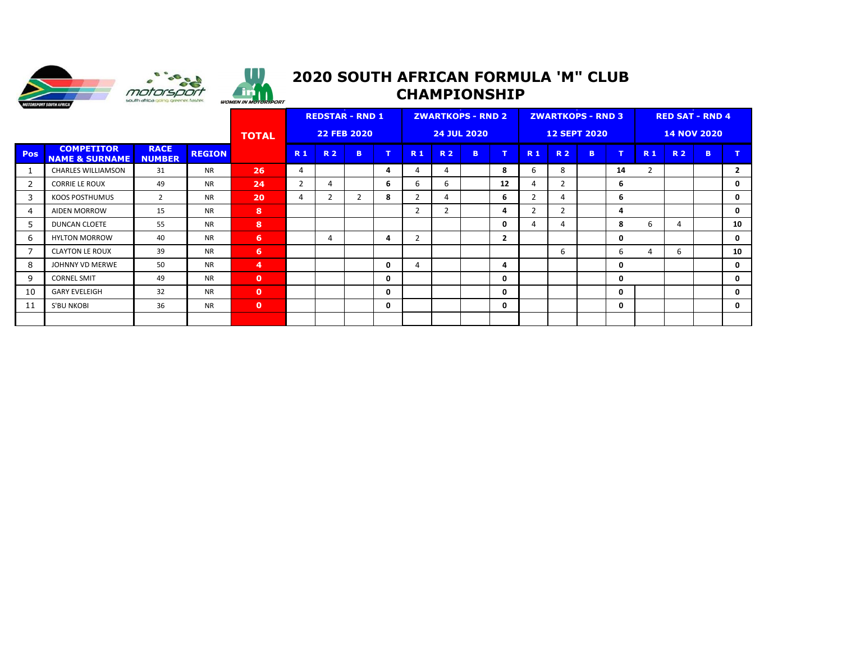



. in

## **2019 SOUTH AFRICAN FORMULA 'M" CLUB 2020 SOUTH AFRICAN FORMULA 'M" CLUB CHAMPIONSHIP**

|                |                                                |                              | <b>REDSTAR - RND 1</b><br><b>22 FEB 2020</b> |                 |             |                | <b>ZWARTKOPS - RND 2</b><br><b>24 JUL 2020</b> |              |                |             |              | <b>ZWARTKOPS - RND 3</b> |                |                | <b>RED SAT - RND 4</b> |              |                          |           |              |              |
|----------------|------------------------------------------------|------------------------------|----------------------------------------------|-----------------|-------------|----------------|------------------------------------------------|--------------|----------------|-------------|--------------|--------------------------|----------------|----------------|------------------------|--------------|--------------------------|-----------|--------------|--------------|
|                |                                                | <b>TOTAL</b>                 |                                              |                 |             |                |                                                |              |                |             |              | <b>12 SEPT 2020</b>      |                |                | <b>14 NOV 2020</b>     |              |                          |           |              |              |
| <b>Pos</b>     | <b>COMPETITOR</b><br><b>NAME &amp; SURNAME</b> | <b>RACE</b><br><b>NUMBER</b> | <b>REGION</b>                                |                 | <b>R1</b>   | <b>R2</b>      | B.                                             | $\mathbf{T}$ | <b>R1</b>      | <b>R2</b>   | $\mathbf{B}$ | $\mathbf{T}$             | <b>R1</b>      | <b>R2</b>      | B                      | $\mathbf T$  | <b>R1</b>                | <b>R2</b> | $\mathbf{B}$ | T            |
|                | <b>CHARLES WILLIAMSON</b>                      | 31                           | <b>NR</b>                                    | 26              | 4           |                |                                                | 4            | 4              | 4           |              | 8                        | 6              | 8              |                        | 14           | $\overline{\phantom{a}}$ |           |              | $\mathbf{2}$ |
| 2              | <b>CORRIE LE ROUX</b>                          | 49                           | <b>NR</b>                                    | 24              | $2^{\circ}$ | 4              |                                                | 6            | 6              | 6           |              | 12                       | 4              | 2              |                        | 6            |                          |           |              | $\mathbf 0$  |
| 3              | KOOS POSTHUMUS                                 | 2                            | <b>NR</b>                                    | 20              | 4           | $\overline{2}$ | $\overline{2}$                                 | 8            | $\mathbf{2}$   | 4           |              | -6                       | $\overline{2}$ | 4              |                        | 6            |                          |           |              | $\mathbf 0$  |
| $\overline{4}$ | <b>AIDEN MORROW</b>                            | 15                           | <b>NR</b>                                    | 8               |             |                |                                                |              | $\mathbf{2}$   | $2^{\circ}$ |              | $\overline{a}$           | $\overline{2}$ | $\overline{2}$ |                        | 4            |                          |           |              | $\mathbf 0$  |
| 5              | DUNCAN CLOETE                                  | 55                           | <b>NR</b>                                    | 8               |             |                |                                                |              |                |             |              | $\mathbf 0$              | 4              | 4              |                        | 8            | 6                        | 4         |              | 10           |
| 6              | <b>HYLTON MORROW</b>                           | 40                           | <b>NR</b>                                    | $6\phantom{1}$  |             | 4              |                                                | 4            | $\overline{2}$ |             |              | $\overline{2}$           |                |                |                        | $\mathbf 0$  |                          |           |              | $\mathbf 0$  |
| $\overline{7}$ | <b>CLAYTON LE ROUX</b>                         | 39                           | <b>NR</b>                                    | $6\overline{6}$ |             |                |                                                |              |                |             |              |                          |                | 6              |                        | 6            | 4                        | 6         |              | 10           |
| 8              | JOHNNY VD MERWE                                | 50                           | <b>NR</b>                                    | $\overline{4}$  |             |                |                                                | 0            | 4              |             |              | 4                        |                |                |                        | $\mathbf{0}$ |                          |           |              | $\mathbf 0$  |
| 9              | <b>CORNEL SMIT</b>                             | 49                           | <b>NR</b>                                    | $\bullet$       |             |                |                                                | $\mathbf 0$  |                |             |              | $\mathbf{0}$             |                |                |                        | $\mathbf{0}$ |                          |           |              | $\mathbf 0$  |
| 10             | <b>GARY EVELEIGH</b>                           | 32                           | <b>NR</b>                                    | $\bullet$       |             |                |                                                | $\mathbf 0$  |                |             |              | $\mathbf{0}$             |                |                |                        | 0            |                          |           |              | $\mathbf 0$  |
| 11             | S'BU NKOBI                                     | 36                           | <b>NR</b>                                    | $\mathbf{0}$    |             |                |                                                | $\mathbf 0$  |                |             |              | $\mathbf{0}$             |                |                |                        | $\mathbf{0}$ |                          |           |              | $\mathbf 0$  |
|                |                                                |                              |                                              |                 |             |                |                                                |              |                |             |              |                          |                |                |                        |              |                          |           |              |              |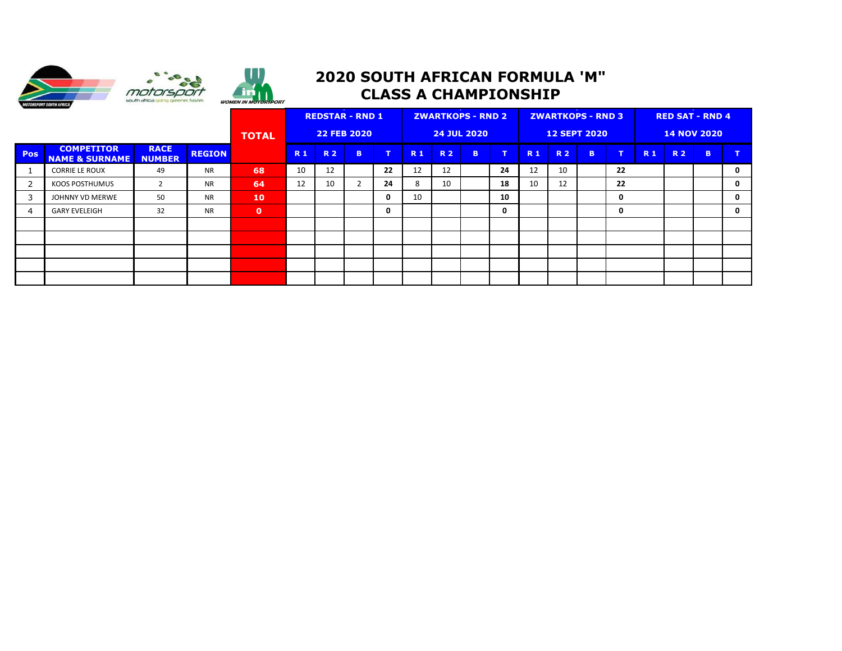



## **2020 SOUTH AFRICAN FORMULA 'M" CLASS A CHAMPIONSHIP**

|     |                                                |                       |                    |           | <b>REDSTAR - RND 1</b> |           |                    |              | <b>ZWARTKOPS - RND 2</b> |           |   |                     |           | <b>ZWARTKOPS - RND 3</b> |                    |             | <b>RED SAT - RND 4</b> |           |              |              |  |
|-----|------------------------------------------------|-----------------------|--------------------|-----------|------------------------|-----------|--------------------|--------------|--------------------------|-----------|---|---------------------|-----------|--------------------------|--------------------|-------------|------------------------|-----------|--------------|--------------|--|
|     |                                                | <b>TOTAL</b>          | <b>22 FEB 2020</b> |           |                        |           | <b>24 JUL 2020</b> |              |                          |           |   | <b>12 SEPT 2020</b> |           |                          | <b>14 NOV 2020</b> |             |                        |           |              |              |  |
| Pos | <b>COMPETITOR</b><br><b>NAME &amp; SURNAME</b> | <b>RACE</b><br>NUMBER | <b>REGION</b>      |           | R <sub>1</sub>         | <b>R2</b> | B                  | $\mathbf{T}$ | <b>R1</b>                | <b>R2</b> | B | T                   | <b>R1</b> | <b>R2</b>                | B                  | T.          | <b>R1</b>              | <b>R2</b> | $\mathbf{B}$ | $\mathbf{T}$ |  |
|     | <b>CORRIE LE ROUX</b>                          | 49                    | <b>NR</b>          | 68        | 10                     | 12        |                    | 22           | 12                       | 12        |   | 24                  | 12        | 10                       |                    | 22          |                        |           |              | $\mathbf 0$  |  |
|     | KOOS POSTHUMUS                                 | 2                     | <b>NR</b>          | 64        | 12                     | 10        |                    | 24           | 8                        | 10        |   | 18                  | 10        | 12                       |                    | 22          |                        |           |              | $\mathbf 0$  |  |
| 3   | JOHNNY VD MERWE                                | 50                    | <b>NR</b>          | 10        |                        |           |                    | 0            | 10                       |           |   | 10                  |           |                          |                    | $\mathbf 0$ |                        |           |              | $\mathbf 0$  |  |
| -4  | <b>GARY EVELEIGH</b>                           | 32                    | <b>NR</b>          | $\bullet$ |                        |           |                    | $\mathbf{0}$ |                          |           |   | $\mathbf{0}$        |           |                          |                    | $\mathbf 0$ |                        |           |              | $\mathbf 0$  |  |
|     |                                                |                       |                    |           |                        |           |                    |              |                          |           |   |                     |           |                          |                    |             |                        |           |              |              |  |
|     |                                                |                       |                    |           |                        |           |                    |              |                          |           |   |                     |           |                          |                    |             |                        |           |              |              |  |
|     |                                                |                       |                    |           |                        |           |                    |              |                          |           |   |                     |           |                          |                    |             |                        |           |              |              |  |
|     |                                                |                       |                    |           |                        |           |                    |              |                          |           |   |                     |           |                          |                    |             |                        |           |              |              |  |
|     |                                                |                       |                    |           |                        |           |                    |              |                          |           |   |                     |           |                          |                    |             |                        |           |              |              |  |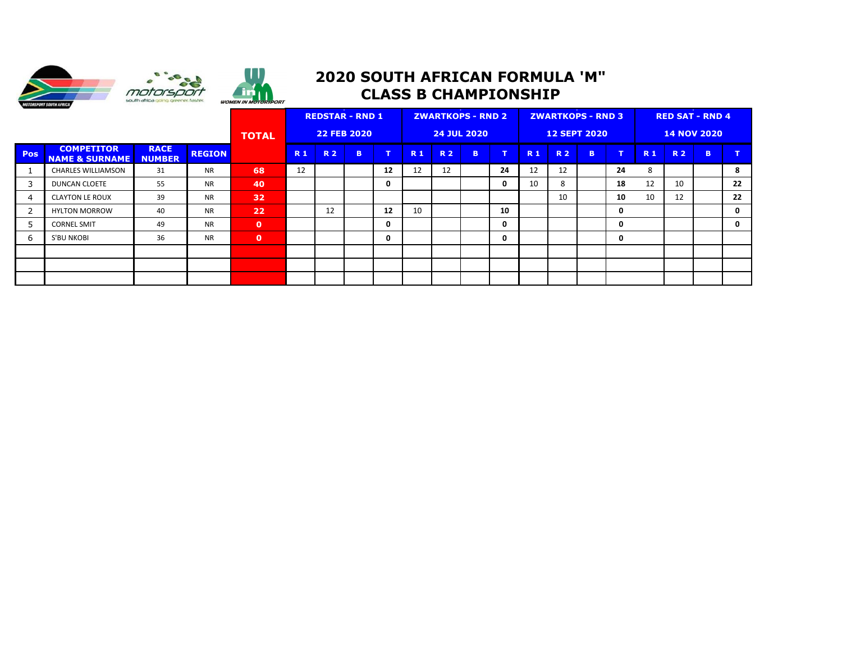



## **2020 SOUTH AFRICAN FORMULA 'M" CLASS B CHAMPIONSHIP**

|            |                                                |                              |                    |             | <b>REDSTAR - RND 1</b> |           |                    |              | <b>ZWARTKOPS - RND 2</b> |           |              |                     | <b>ZWARTKOPS - RND 3</b> |           |                    |             | <b>RED SAT - RND 4</b> |           |   |              |  |
|------------|------------------------------------------------|------------------------------|--------------------|-------------|------------------------|-----------|--------------------|--------------|--------------------------|-----------|--------------|---------------------|--------------------------|-----------|--------------------|-------------|------------------------|-----------|---|--------------|--|
|            |                                                | <b>TOTAL</b>                 | <b>22 FEB 2020</b> |             |                        |           | <b>24 JUL 2020</b> |              |                          |           |              | <b>12 SEPT 2020</b> |                          |           | <b>14 NOV 2020</b> |             |                        |           |   |              |  |
| <b>Pos</b> | <b>COMPETITOR</b><br><b>NAME &amp; SURNAME</b> | <b>RACE</b><br><b>NUMBER</b> | <b>REGION</b>      |             | <b>R1</b>              | <b>R2</b> | B                  | $\mathbf{T}$ | <b>R1</b>                | <b>R2</b> | $\mathbf{B}$ | $\mathbf{T}$        | <b>R1</b>                | <b>R2</b> | B.                 | T.          | <b>R1</b>              | <b>R2</b> | B | $\mathbf{T}$ |  |
|            | <b>CHARLES WILLIAMSON</b>                      | 31                           | <b>NR</b>          | 68          | 12                     |           |                    | 12           | 12                       | 12        |              | 24                  | 12                       | 12        |                    | 24          | 8                      |           |   | 8            |  |
| 3          | <b>DUNCAN CLOETE</b>                           | 55                           | <b>NR</b>          | 40          |                        |           |                    | $\mathbf 0$  |                          |           |              | $\mathbf 0$         | 10                       | 8         |                    | 18          | 12                     | 10        |   | 22           |  |
| 4          | <b>CLAYTON LE ROUX</b>                         | 39                           | <b>NR</b>          | 32          |                        |           |                    |              |                          |           |              |                     |                          | 10        |                    | 10          | 10                     | 12        |   | 22           |  |
|            | <b>HYLTON MORROW</b>                           | 40                           | <b>NR</b>          | 22          |                        | 12        |                    | 12           | 10 <sup>°</sup>          |           |              | 10                  |                          |           |                    | 0           |                        |           |   | $\mathbf 0$  |  |
|            | <b>CORNEL SMIT</b>                             | 49                           | <b>NR</b>          | $\mathbf 0$ |                        |           |                    | $\mathbf{0}$ |                          |           |              | 0                   |                          |           |                    | 0           |                        |           |   | $\mathbf 0$  |  |
| 6          | S'BU NKOBI                                     | 36                           | <b>NR</b>          | $\mathbf 0$ |                        |           |                    | $\mathbf 0$  |                          |           |              | $\mathbf{0}$        |                          |           |                    | $\mathbf 0$ |                        |           |   |              |  |
|            |                                                |                              |                    |             |                        |           |                    |              |                          |           |              |                     |                          |           |                    |             |                        |           |   |              |  |
|            |                                                |                              |                    |             |                        |           |                    |              |                          |           |              |                     |                          |           |                    |             |                        |           |   |              |  |
|            |                                                |                              |                    |             |                        |           |                    |              |                          |           |              |                     |                          |           |                    |             |                        |           |   |              |  |